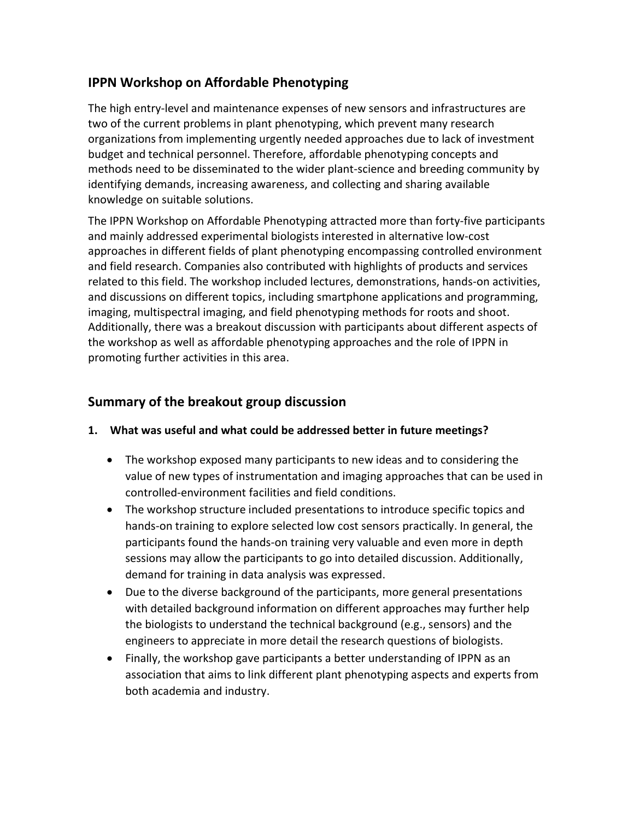# **IPPN Workshop on Affordable Phenotyping**

The high entry-level and maintenance expenses of new sensors and infrastructures are two of the current problems in plant phenotyping, which prevent many research organizations from implementing urgently needed approaches due to lack of investment budget and technical personnel. Therefore, affordable phenotyping concepts and methods need to be disseminated to the wider plant-science and breeding community by identifying demands, increasing awareness, and collecting and sharing available knowledge on suitable solutions.

The IPPN Workshop on Affordable Phenotyping attracted more than forty-five participants and mainly addressed experimental biologists interested in alternative low-cost approaches in different fields of plant phenotyping encompassing controlled environment and field research. Companies also contributed with highlights of products and services related to this field. The workshop included lectures, demonstrations, hands-on activities, and discussions on different topics, including smartphone applications and programming, imaging, multispectral imaging, and field phenotyping methods for roots and shoot. Additionally, there was a breakout discussion with participants about different aspects of the workshop as well as affordable phenotyping approaches and the role of IPPN in promoting further activities in this area.

## **Summary of the breakout group discussion**

- **1. What was useful and what could be addressed better in future meetings?**
	- The workshop exposed many participants to new ideas and to considering the value of new types of instrumentation and imaging approaches that can be used in controlled-environment facilities and field conditions.
	- The workshop structure included presentations to introduce specific topics and hands-on training to explore selected low cost sensors practically. In general, the participants found the hands-on training very valuable and even more in depth sessions may allow the participants to go into detailed discussion. Additionally, demand for training in data analysis was expressed.
	- Due to the diverse background of the participants, more general presentations with detailed background information on different approaches may further help the biologists to understand the technical background (e.g., sensors) and the engineers to appreciate in more detail the research questions of biologists.
	- Finally, the workshop gave participants a better understanding of IPPN as an association that aims to link different plant phenotyping aspects and experts from both academia and industry.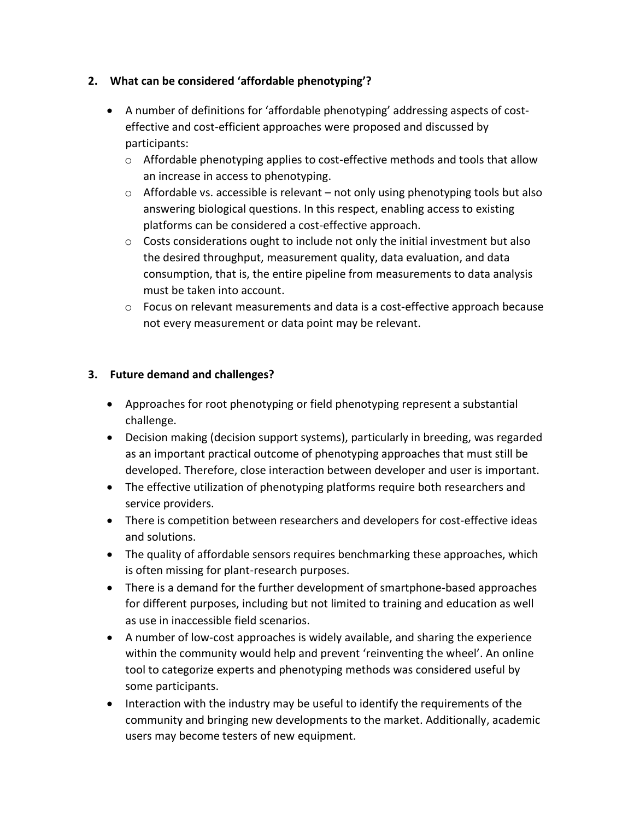#### **2. What can be considered 'affordable phenotyping'?**

- A number of definitions for 'affordable phenotyping' addressing aspects of costeffective and cost-efficient approaches were proposed and discussed by participants:
	- $\circ$  Affordable phenotyping applies to cost-effective methods and tools that allow an increase in access to phenotyping.
	- $\circ$  Affordable vs. accessible is relevant not only using phenotyping tools but also answering biological questions. In this respect, enabling access to existing platforms can be considered a cost-effective approach.
	- $\circ$  Costs considerations ought to include not only the initial investment but also the desired throughput, measurement quality, data evaluation, and data consumption, that is, the entire pipeline from measurements to data analysis must be taken into account.
	- o Focus on relevant measurements and data is a cost-effective approach because not every measurement or data point may be relevant.

### **3. Future demand and challenges?**

- Approaches for root phenotyping or field phenotyping represent a substantial challenge.
- Decision making (decision support systems), particularly in breeding, was regarded as an important practical outcome of phenotyping approaches that must still be developed. Therefore, close interaction between developer and user is important.
- The effective utilization of phenotyping platforms require both researchers and service providers.
- There is competition between researchers and developers for cost-effective ideas and solutions.
- The quality of affordable sensors requires benchmarking these approaches, which is often missing for plant-research purposes.
- There is a demand for the further development of smartphone-based approaches for different purposes, including but not limited to training and education as well as use in inaccessible field scenarios.
- A number of low-cost approaches is widely available, and sharing the experience within the community would help and prevent 'reinventing the wheel'. An online tool to categorize experts and phenotyping methods was considered useful by some participants.
- Interaction with the industry may be useful to identify the requirements of the community and bringing new developments to the market. Additionally, academic users may become testers of new equipment.